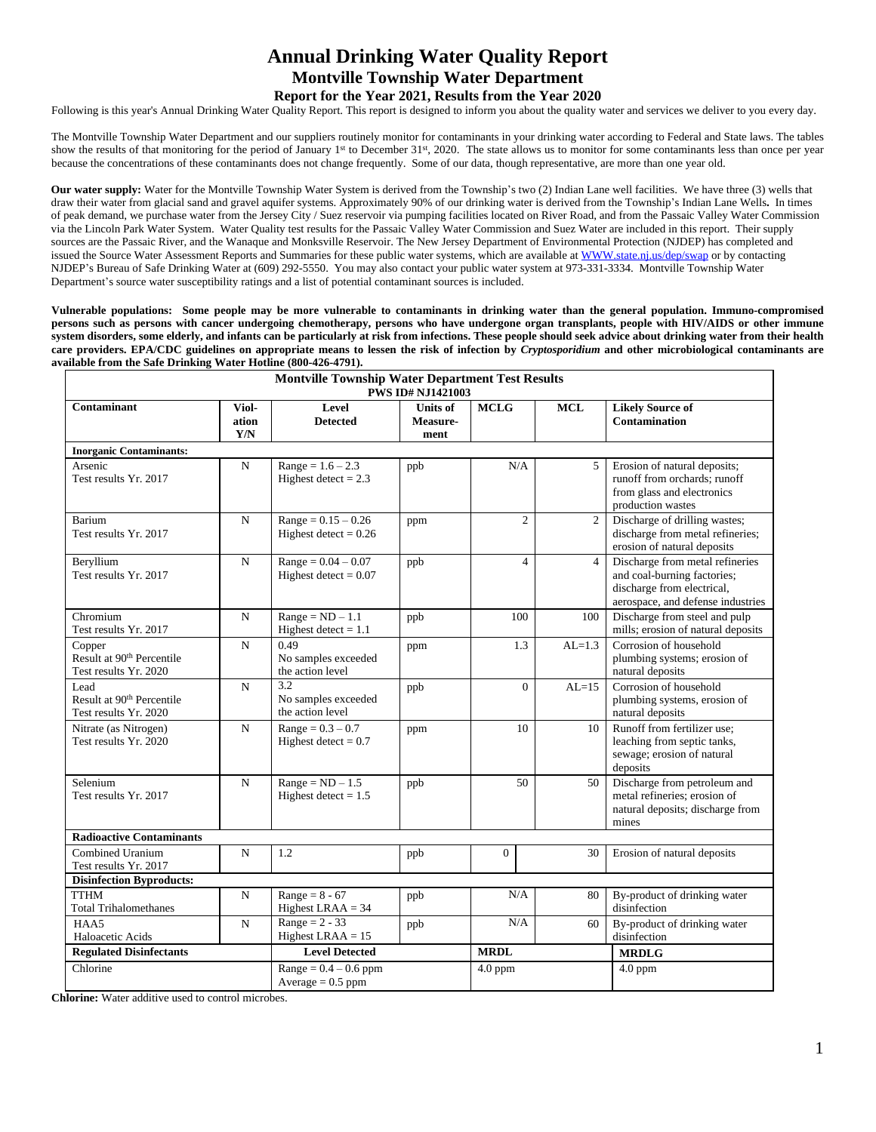# **Annual Drinking Water Quality Report Montville Township Water Department Report for the Year 2021, Results from the Year 2020**

Following is this year's Annual Drinking Water Quality Report. This report is designed to inform you about the quality water and services we deliver to you every day.

The Montville Township Water Department and our suppliers routinely monitor for contaminants in your drinking water according to Federal and State laws. The tables show the results of that monitoring for the period of January 1<sup>st</sup> to December 31<sup>st</sup>, 2020. The state allows us to monitor for some contaminants less than once per year because the concentrations of these contaminants does not change frequently. Some of our data, though representative, are more than one year old.

**Our water supply:** Water for the Montville Township Water System is derived from the Township's two (2) Indian Lane well facilities. We have three (3) wells that draw their water from glacial sand and gravel aquifer systems. Approximately 90% of our drinking water is derived from the Township's Indian Lane Wells**.** In times of peak demand, we purchase water from the Jersey City / Suez reservoir via pumping facilities located on River Road, and from the Passaic Valley Water Commission via the Lincoln Park Water System. Water Quality test results for the Passaic Valley Water Commission and Suez Water are included in this report. Their supply sources are the Passaic River, and the Wanaque and Monksville Reservoir. The New Jersey Department of Environmental Protection (NJDEP) has completed and issued the Source Water Assessment Reports and Summaries for these public water systems, which are available at WWW.state.nj.us/dep/swap or by contacting NJDEP's Bureau of Safe Drinking Water at (609) 292-5550. You may also contact your public water system at 973-331-3334. Montville Township Water Department's source water susceptibility ratings and a list of potential contaminant sources is included.

Vulnerable populations: Some people may be more vulnerable to contaminants in drinking water than the general population. Immuno-compromised persons such as persons with cancer undergoing chemotherapy, persons who have undergone organ transplants, people with HIV/AIDS or other immune system disorders, some elderly, and infants can be particularly at risk from infections. These people should seek advice about drinking water from their health care providers. EPA/CDC guidelines on appropriate means to lessen the risk of infection by Cryptosporidium and other microbiological contaminants are **available from the Safe Drinking Water Hotline (800-426-4791).** 

|                                                                          |                       | <b>Montville Township Water Department Test Results</b> | <b>PWS ID# NJ1421003</b>            |                |                |                                                                                                                                   |  |  |  |
|--------------------------------------------------------------------------|-----------------------|---------------------------------------------------------|-------------------------------------|----------------|----------------|-----------------------------------------------------------------------------------------------------------------------------------|--|--|--|
| Contaminant                                                              | Viol-<br>ation<br>Y/N | Level<br><b>Detected</b>                                | <b>Units of</b><br>Measure-<br>ment | <b>MCLG</b>    | <b>MCL</b>     | <b>Likely Source of</b><br><b>Contamination</b>                                                                                   |  |  |  |
| <b>Inorganic Contaminants:</b>                                           |                       |                                                         |                                     |                |                |                                                                                                                                   |  |  |  |
| Arsenic<br>Test results Yr. 2017                                         | $\mathbf N$           | $Range = 1.6 - 2.3$<br>Highest detect = $2.3$           | ppb                                 | N/A            | 5              | Erosion of natural deposits;<br>runoff from orchards; runoff<br>from glass and electronics<br>production wastes                   |  |  |  |
| Barium<br>Test results Yr. 2017                                          | $\mathbf N$           | $Range = 0.15 - 0.26$<br>Highest detect = $0.26$        | ppm                                 | $\overline{c}$ | $\overline{2}$ | Discharge of drilling wastes;<br>discharge from metal refineries;<br>erosion of natural deposits                                  |  |  |  |
| Beryllium<br>Test results Yr. 2017                                       | $\mathbf N$           | $Range = 0.04 - 0.07$<br>Highest detect = $0.07$        | ppb                                 | $\overline{4}$ | $\overline{4}$ | Discharge from metal refineries<br>and coal-burning factories;<br>discharge from electrical,<br>aerospace, and defense industries |  |  |  |
| Chromium<br>Test results Yr. 2017                                        | $\mathbf N$           | $Range = ND - 1.1$<br>Highest detect = $1.1$            | ppb                                 | 100            | 100            | Discharge from steel and pulp<br>mills; erosion of natural deposits                                                               |  |  |  |
| Copper<br>Result at 90 <sup>th</sup> Percentile<br>Test results Yr. 2020 | $\mathbf N$           | 0.49<br>No samples exceeded<br>the action level         | ppm                                 | 1.3            | $AL=1.3$       | Corrosion of household<br>plumbing systems; erosion of<br>natural deposits                                                        |  |  |  |
| Lead<br>Result at 90 <sup>th</sup> Percentile<br>Test results Yr. 2020   | $\mathbf N$           | 3.2<br>No samples exceeded<br>the action level          | ppb                                 | $\Omega$       | $AL=15$        | Corrosion of household<br>plumbing systems, erosion of<br>natural deposits                                                        |  |  |  |
| Nitrate (as Nitrogen)<br>Test results Yr. 2020                           | $\mathbf N$           | $Range = 0.3 - 0.7$<br>Highest detect = $0.7$           | ppm                                 | 10             | 10             | Runoff from fertilizer use;<br>leaching from septic tanks,<br>sewage; erosion of natural<br>deposits                              |  |  |  |
| Selenium<br>Test results Yr. 2017                                        | $\mathbf N$           | $Range = ND - 1.5$<br>Highest detect $= 1.5$            | ppb                                 | 50             | 50             | Discharge from petroleum and<br>metal refineries; erosion of<br>natural deposits; discharge from<br>mines                         |  |  |  |
| <b>Radioactive Contaminants</b>                                          |                       |                                                         |                                     |                |                |                                                                                                                                   |  |  |  |
| Combined Uranium<br>Test results Yr. 2017                                | N                     | 1.2                                                     | ppb                                 | $\overline{0}$ | 30             | Erosion of natural deposits                                                                                                       |  |  |  |
| <b>Disinfection Byproducts:</b>                                          |                       |                                                         |                                     |                |                |                                                                                                                                   |  |  |  |
| <b>TTHM</b><br><b>Total Trihalomethanes</b>                              | $\mathbf N$           | Range = $8 - 67$<br>Highest LRAA $=$ 34                 | ppb                                 | N/A            | 80             | By-product of drinking water<br>disinfection                                                                                      |  |  |  |
| HAA5<br>Haloacetic Acids                                                 | N                     | Range = $2 - 33$<br>Highest LRAA $= 15$                 | ppb                                 | N/A            | 60             | By-product of drinking water<br>disinfection                                                                                      |  |  |  |
| <b>Regulated Disinfectants</b>                                           |                       | <b>Level Detected</b>                                   |                                     | <b>MRDL</b>    |                | <b>MRDLG</b>                                                                                                                      |  |  |  |
| Chlorine                                                                 |                       | $Range = 0.4 - 0.6$ ppm<br>Average $= 0.5$ ppm          |                                     | $4.0$ ppm      |                | $4.0$ ppm                                                                                                                         |  |  |  |

**Chlorine:** Water additive used to control microbes.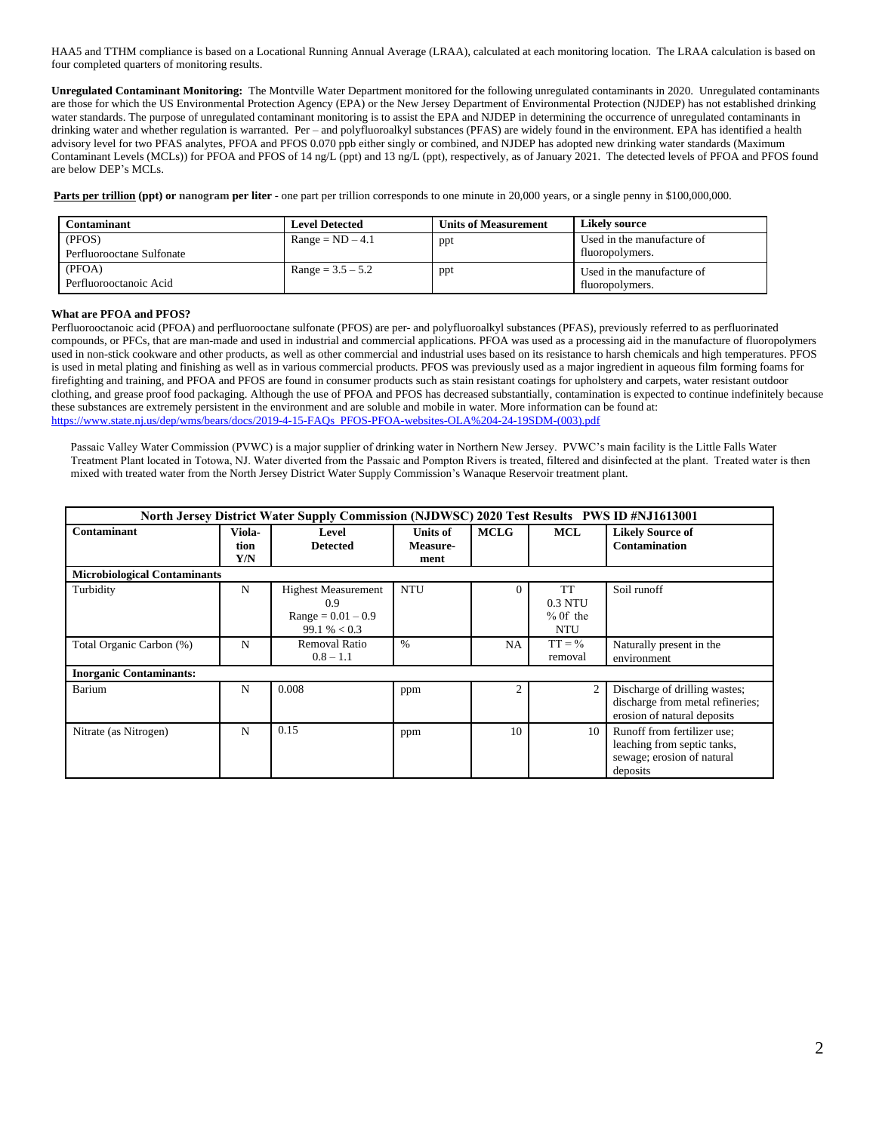HAA5 and TTHM compliance is based on a Locational Running Annual Average (LRAA), calculated at each monitoring location. The LRAA calculation is based on four completed quarters of monitoring results.

**Unregulated Contaminant Monitoring:** The Montville Water Department monitored for the following unregulated contaminants in 2020. Unregulated contaminants are those for which the US Environmental Protection Agency (EPA) or the New Jersey Department of Environmental Protection (NJDEP) has not established drinking water standards. The purpose of unregulated contaminant monitoring is to assist the EPA and NJDEP in determining the occurrence of unregulated contaminants in drinking water and whether regulation is warranted. Per – and polyfluoroalkyl substances (PFAS) are widely found in the environment. EPA has identified a health advisory level for two PFAS analytes, PFOA and PFOS 0.070 ppb either singly or combined, and NJDEP has adopted new drinking water standards (Maximum Contaminant Levels (MCLs)) for PFOA and PFOS of 14 ng/L (ppt) and 13 ng/L (ppt), respectively, as of January 2021. The detected levels of PFOA and PFOS found are below DEP's MCLs.

**Parts per trillion (ppt) or nanogram per liter** - one part per trillion corresponds to one minute in 20,000 years, or a single penny in \$100,000,000.

| Contaminant                      | <b>Level Detected</b> | <b>Units of Measurement</b> | Likely source                                 |
|----------------------------------|-----------------------|-----------------------------|-----------------------------------------------|
| (PFOS)                           | $Range = ND - 4.1$    | ppt                         | Used in the manufacture of                    |
| Perfluorooctane Sulfonate        |                       |                             | fluoropolymers.                               |
| (PFOA)<br>Perfluorooctanoic Acid | $Range = 3.5 - 5.2$   | ppt                         | Used in the manufacture of<br>fluoropolymers. |

### **What are PFOA and PFOS?**

Perfluorooctanoic acid (PFOA) and perfluorooctane sulfonate (PFOS) are per- and polyfluoroalkyl substances (PFAS), previously referred to as perfluorinated compounds, or PFCs, that are man-made and used in industrial and commercial applications. PFOA was used as a processing aid in the manufacture of fluoropolymers used in non-stick cookware and other products, as well as other commercial and industrial uses based on its resistance to harsh chemicals and high temperatures. PFOS is used in metal plating and finishing as well as in various commercial products. PFOS was previously used as a major ingredient in aqueous film forming foams for firefighting and training, and PFOA and PFOS are found in consumer products such as stain resistant coatings for upholstery and carpets, water resistant outdoor clothing, and grease proof food packaging. Although the use of PFOA and PFOS has decreased substantially, contamination is expected to continue indefinitely because these substances are extremely persistent in the environment and are soluble and mobile in water. More information can be found at: [https://www.state.nj.us/dep/wms/bears/docs/2019-4-15-FAQs\\_PFOS-PFOA-websites-OLA%204-24-19SDM-\(003\).pdf](https://www.state.nj.us/dep/wms/bears/docs/2019-4-15-FAQs_PFOS-PFOA-websites-OLA%204-24-19SDM-(003).pdf)

Passaic Valley Water Commission (PVWC) is a major supplier of drinking water in Northern New Jersey. PVWC's main facility is the Little Falls Water Treatment Plant located in Totowa, NJ. Water diverted from the Passaic and Pompton Rivers is treated, filtered and disinfected at the plant. Treated water is then mixed with treated water from the North Jersey District Water Supply Commission's Wanaque Reservoir treatment plant.

| North Jersey District Water Supply Commission (NJDWSC) 2020 Test Results PWS ID #NJ1613001 |                       |                                                                             |                                     |                |                                                  |                                                                                                      |  |  |  |  |  |  |  |
|--------------------------------------------------------------------------------------------|-----------------------|-----------------------------------------------------------------------------|-------------------------------------|----------------|--------------------------------------------------|------------------------------------------------------------------------------------------------------|--|--|--|--|--|--|--|
| Contaminant                                                                                | Viola-<br>tion<br>Y/N | Level<br><b>Detected</b>                                                    | <b>Units of</b><br>Measure-<br>ment | <b>MCLG</b>    | <b>MCL</b>                                       | <b>Likely Source of</b><br><b>Contamination</b>                                                      |  |  |  |  |  |  |  |
| <b>Microbiological Contaminants</b>                                                        |                       |                                                                             |                                     |                |                                                  |                                                                                                      |  |  |  |  |  |  |  |
| Turbidity                                                                                  | N                     | <b>Highest Measurement</b><br>0.9<br>$Range = 0.01 - 0.9$<br>$99.1\% < 0.3$ | <b>NTU</b>                          | $\overline{0}$ | <b>TT</b><br>0.3 NTU<br>$%$ Of the<br><b>NTU</b> | Soil runoff                                                                                          |  |  |  |  |  |  |  |
| Total Organic Carbon (%)                                                                   | N                     | Removal Ratio<br>$0.8 - 1.1$                                                | $\%$                                | NA.            | $TT = \%$<br>removal                             | Naturally present in the<br>environment                                                              |  |  |  |  |  |  |  |
| <b>Inorganic Contaminants:</b>                                                             |                       |                                                                             |                                     |                |                                                  |                                                                                                      |  |  |  |  |  |  |  |
| Barium                                                                                     | N                     | 0.008                                                                       | ppm                                 | 2              | 2                                                | Discharge of drilling wastes;<br>discharge from metal refineries;<br>erosion of natural deposits     |  |  |  |  |  |  |  |
| Nitrate (as Nitrogen)                                                                      | N                     | 0.15                                                                        | ppm                                 | 10             | 10                                               | Runoff from fertilizer use;<br>leaching from septic tanks,<br>sewage; erosion of natural<br>deposits |  |  |  |  |  |  |  |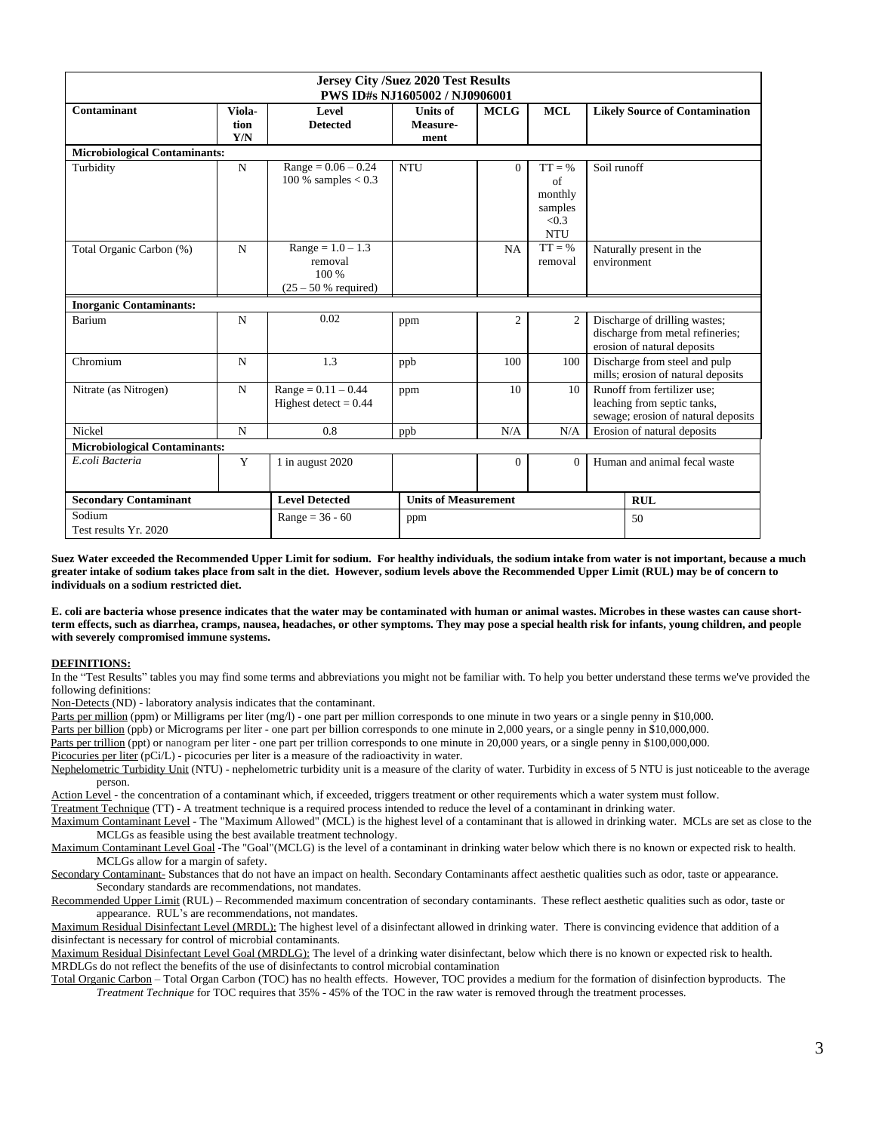| <b>Jersey City /Suez 2020 Test Results</b><br>PWS ID#s NJ1605002 / NJ0906001<br><b>MCL</b> |                       |                                                                   |                                     |                     |                                                                           |                                                                     |                                                                                                   |  |  |  |  |  |
|--------------------------------------------------------------------------------------------|-----------------------|-------------------------------------------------------------------|-------------------------------------|---------------------|---------------------------------------------------------------------------|---------------------------------------------------------------------|---------------------------------------------------------------------------------------------------|--|--|--|--|--|
| Contaminant                                                                                | Viola-<br>tion<br>Y/N | Level<br><b>Detected</b>                                          | <b>Units of</b><br>Measure-<br>ment | <b>MCLG</b>         |                                                                           |                                                                     | <b>Likely Source of Contamination</b>                                                             |  |  |  |  |  |
| <b>Microbiological Contaminants:</b>                                                       |                       |                                                                   |                                     |                     |                                                                           |                                                                     |                                                                                                   |  |  |  |  |  |
| Turbidity                                                                                  | $\mathbf N$           | $Range = 0.06 - 0.24$<br>100 % samples $< 0.3$                    | <b>NTU</b>                          | $\Omega$            | $TT = \%$<br>of<br>monthly<br>samples<br>< 0.3<br><b>NTU</b><br>$TT = \%$ | Soil runoff                                                         |                                                                                                   |  |  |  |  |  |
| Total Organic Carbon (%)                                                                   | N                     | $Range = 1.0 - 1.3$<br>removal<br>100 %<br>$(25 - 50 %$ required) |                                     | <b>NA</b>           | Naturally present in the<br>environment                                   |                                                                     |                                                                                                   |  |  |  |  |  |
| <b>Inorganic Contaminants:</b>                                                             |                       |                                                                   |                                     |                     |                                                                           |                                                                     |                                                                                                   |  |  |  |  |  |
| Barium                                                                                     | $\mathbf N$           | 0.02                                                              | ppm                                 | $\overline{2}$<br>2 |                                                                           |                                                                     | Discharge of drilling wastes;<br>discharge from metal refineries;<br>erosion of natural deposits  |  |  |  |  |  |
| Chromium                                                                                   | $\mathbf N$           | 1.3                                                               | ppb                                 | 100                 | 100                                                                       | Discharge from steel and pulp<br>mills; erosion of natural deposits |                                                                                                   |  |  |  |  |  |
| Nitrate (as Nitrogen)                                                                      | $\mathbf N$           | $Range = 0.11 - 0.44$<br>Highest detect = $0.44$                  | ppm                                 | 10                  | 10                                                                        |                                                                     | Runoff from fertilizer use:<br>leaching from septic tanks,<br>sewage; erosion of natural deposits |  |  |  |  |  |
| Nickel                                                                                     | N                     | 0.8                                                               | ppb                                 | N/A                 |                                                                           | Erosion of natural deposits                                         |                                                                                                   |  |  |  |  |  |
| <b>Microbiological Contaminants:</b>                                                       |                       |                                                                   |                                     |                     |                                                                           |                                                                     |                                                                                                   |  |  |  |  |  |
| E.coli Bacteria<br>Y                                                                       |                       | 1 in august 2020                                                  |                                     | $\Omega$            | $\Omega$                                                                  |                                                                     | Human and animal fecal waste                                                                      |  |  |  |  |  |
| <b>Secondary Contaminant</b>                                                               |                       | <b>Level Detected</b>                                             | <b>Units of Measurement</b>         |                     |                                                                           | <b>RUL</b>                                                          |                                                                                                   |  |  |  |  |  |
| Sodium<br>Test results Yr. 2020                                                            |                       | $Range = 36 - 60$                                                 | ppm                                 |                     |                                                                           |                                                                     | 50                                                                                                |  |  |  |  |  |

**Suez Water exceeded the Recommended Upper Limit for sodium. For healthy individuals, the sodium intake from water is not important, because a much greater intake of sodium takes place from salt in the diet. However, sodium levels above the Recommended Upper Limit (RUL) may be of concern to individuals on a sodium restricted diet.**

**E. coli are bacteria whose presence indicates that the water may be contaminated with human or animal wastes. Microbes in these wastes can cause shortterm effects, such as diarrhea, cramps, nausea, headaches, or other symptoms. They may pose a special health risk for infants, young children, and people with severely compromised immune systems.** 

#### **DEFINITIONS:**

In the "Test Results" tables you may find some terms and abbreviations you might not be familiar with. To help you better understand these terms we've provided the following definitions:

Non-Detects (ND) - laboratory analysis indicates that the contaminant.

Parts per million (ppm) or Milligrams per liter (mg/l) - one part per million corresponds to one minute in two years or a single penny in \$10,000.

Parts per billion (ppb) or Micrograms per liter - one part per billion corresponds to one minute in 2,000 years, or a single penny in \$10,000,000.

Parts per trillion (ppt) or nanogram per liter - one part per trillion corresponds to one minute in 20,000 years, or a single penny in \$100,000,000.

Picocuries per liter (pCi/L) - picocuries per liter is a measure of the radioactivity in water.

Nephelometric Turbidity Unit (NTU) - nephelometric turbidity unit is a measure of the clarity of water. Turbidity in excess of 5 NTU is just noticeable to the average person.

Action Level - the concentration of a contaminant which, if exceeded, triggers treatment or other requirements which a water system must follow.

Treatment Technique (TT) - A treatment technique is a required process intended to reduce the level of a contaminant in drinking water.

Maximum Contaminant Level - The "Maximum Allowed" (MCL) is the highest level of a contaminant that is allowed in drinking water. MCLs are set as close to the MCLGs as feasible using the best available treatment technology.

Maximum Contaminant Level Goal -The "Goal"(MCLG) is the level of a contaminant in drinking water below which there is no known or expected risk to health. MCLGs allow for a margin of safety.

Secondary Contaminant- Substances that do not have an impact on health. Secondary Contaminants affect aesthetic qualities such as odor, taste or appearance. Secondary standards are recommendations, not mandates.

Recommended Upper Limit (RUL) – Recommended maximum concentration of secondary contaminants. These reflect aesthetic qualities such as odor, taste or appearance. RUL's are recommendations, not mandates.

Maximum Residual Disinfectant Level (MRDL): The highest level of a disinfectant allowed in drinking water. There is convincing evidence that addition of a disinfectant is necessary for control of microbial contaminants.

Maximum Residual Disinfectant Level Goal (MRDLG): The level of a drinking water disinfectant, below which there is no known or expected risk to health. MRDLGs do not reflect the benefits of the use of disinfectants to control microbial contamination

Total Organic Carbon – Total Organ Carbon (TOC) has no health effects. However, TOC provides a medium for the formation of disinfection byproducts. The *Treatment Technique* for TOC requires that 35% - 45% of the TOC in the raw water is removed through the treatment processes.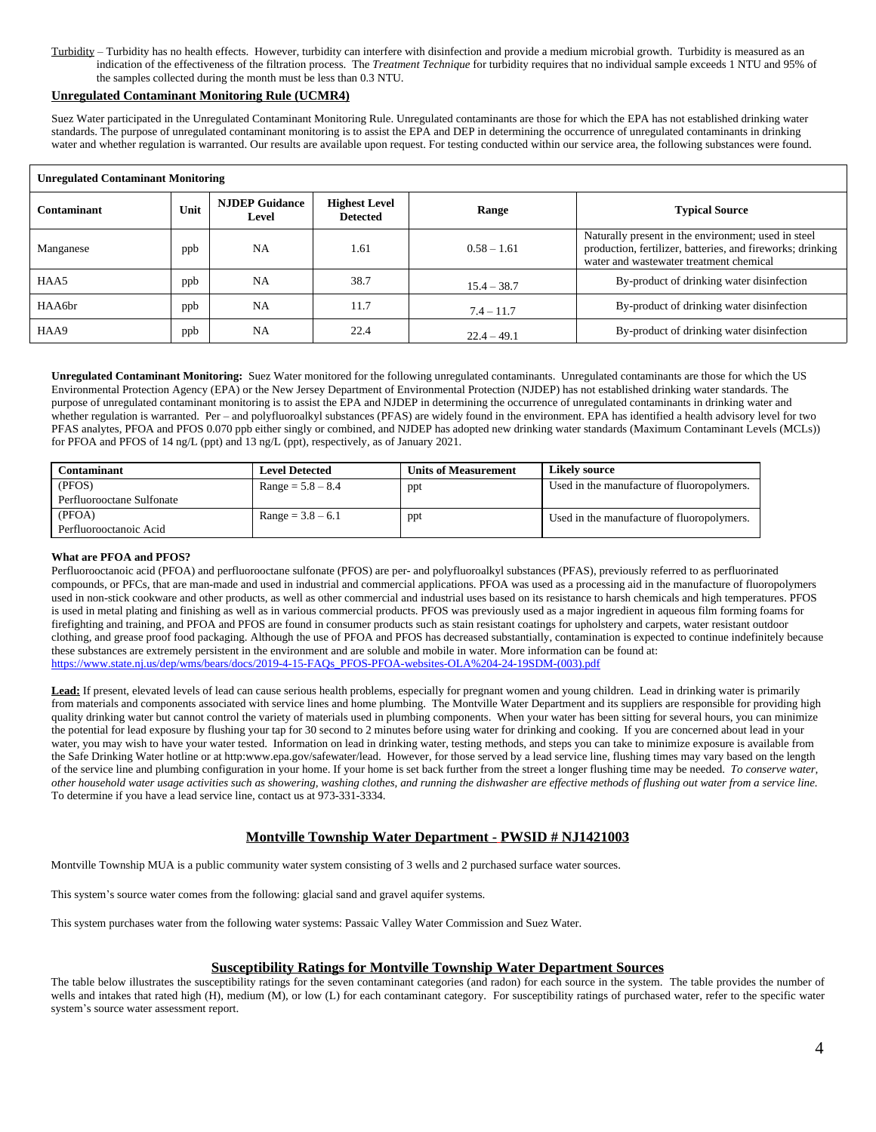Turbidity – Turbidity has no health effects. However, turbidity can interfere with disinfection and provide a medium microbial growth. Turbidity is measured as an indication of the effectiveness of the filtration process. The *Treatment Technique* for turbidity requires that no individual sample exceeds 1 NTU and 95% of the samples collected during the month must be less than 0.3 NTU.

#### **Unregulated Contaminant Monitoring Rule (UCMR4)**

Suez Water participated in the Unregulated Contaminant Monitoring Rule. Unregulated contaminants are those for which the EPA has not established drinking water standards. The purpose of unregulated contaminant monitoring is to assist the EPA and DEP in determining the occurrence of unregulated contaminants in drinking water and whether regulation is warranted. Our results are available upon request. For testing conducted within our service area, the following substances were found.

| <b>Unregulated Contaminant Monitoring</b> |      |                                |                                         |               |                                                                                                                                                              |  |  |  |  |  |  |  |
|-------------------------------------------|------|--------------------------------|-----------------------------------------|---------------|--------------------------------------------------------------------------------------------------------------------------------------------------------------|--|--|--|--|--|--|--|
| Contaminant                               | Unit | <b>NJDEP Guidance</b><br>Level | <b>Highest Level</b><br><b>Detected</b> | Range         | <b>Typical Source</b>                                                                                                                                        |  |  |  |  |  |  |  |
| Manganese                                 | ppb  | <b>NA</b>                      | 1.61                                    | $0.58 - 1.61$ | Naturally present in the environment; used in steel<br>production, fertilizer, batteries, and fireworks; drinking<br>water and wastewater treatment chemical |  |  |  |  |  |  |  |
| HAA5                                      | ppb  | <b>NA</b>                      | 38.7                                    | $15.4 - 38.7$ | By-product of drinking water disinfection                                                                                                                    |  |  |  |  |  |  |  |
| HAA6br                                    | ppb  | <b>NA</b>                      | 11.7                                    | $7.4 - 11.7$  | By-product of drinking water disinfection                                                                                                                    |  |  |  |  |  |  |  |
| HAA9                                      | ppb  | <b>NA</b>                      | 22.4                                    | $22.4 - 49.1$ | By-product of drinking water disinfection                                                                                                                    |  |  |  |  |  |  |  |

**Unregulated Contaminant Monitoring:** Suez Water monitored for the following unregulated contaminants. Unregulated contaminants are those for which the US Environmental Protection Agency (EPA) or the New Jersey Department of Environmental Protection (NJDEP) has not established drinking water standards. The purpose of unregulated contaminant monitoring is to assist the EPA and NJDEP in determining the occurrence of unregulated contaminants in drinking water and whether regulation is warranted. Per – and polyfluoroalkyl substances (PFAS) are widely found in the environment. EPA has identified a health advisory level for two PFAS analytes, PFOA and PFOS 0.070 ppb either singly or combined, and NJDEP has adopted new drinking water standards (Maximum Contaminant Levels (MCLs)) for PFOA and PFOS of 14 ng/L (ppt) and 13 ng/L (ppt), respectively, as of January 2021.

| <b>Contaminant</b>        | <b>Level Detected</b> | <b>Units of Measurement</b> | Likely source                              |
|---------------------------|-----------------------|-----------------------------|--------------------------------------------|
| (PFOS)                    | $Range = 5.8 - 8.4$   | ppt                         | Used in the manufacture of fluoropolymers. |
| Perfluorooctane Sulfonate |                       |                             |                                            |
| (PFOA)                    | $Range = 3.8 - 6.1$   | ppt                         | Used in the manufacture of fluoropolymers. |
| Perfluorooctanoic Acid    |                       |                             |                                            |

#### **What are PFOA and PFOS?**

Perfluorooctanoic acid (PFOA) and perfluorooctane sulfonate (PFOS) are per- and polyfluoroalkyl substances (PFAS), previously referred to as perfluorinated compounds, or PFCs, that are man-made and used in industrial and commercial applications. PFOA was used as a processing aid in the manufacture of fluoropolymers used in non-stick cookware and other products, as well as other commercial and industrial uses based on its resistance to harsh chemicals and high temperatures. PFOS is used in metal plating and finishing as well as in various commercial products. PFOS was previously used as a major ingredient in aqueous film forming foams for firefighting and training, and PFOA and PFOS are found in consumer products such as stain resistant coatings for upholstery and carpets, water resistant outdoor clothing, and grease proof food packaging. Although the use of PFOA and PFOS has decreased substantially, contamination is expected to continue indefinitely because these substances are extremely persistent in the environment and are soluble and mobile in water. More information can be found at: [https://www.state.nj.us/dep/wms/bears/docs/2019-4-15-FAQs\\_PFOS-PFOA-websites-OLA%204-24-19SDM-\(003\).pdf](https://www.state.nj.us/dep/wms/bears/docs/2019-4-15-FAQs_PFOS-PFOA-websites-OLA%204-24-19SDM-(003).pdf)

**Lead:** If present, elevated levels of lead can cause serious health problems, especially for pregnant women and young children. Lead in drinking water is primarily from materials and components associated with service lines and home plumbing. The Montville Water Department and its suppliers are responsible for providing high quality drinking water but cannot control the variety of materials used in plumbing components. When your water has been sitting for several hours, you can minimize the potential for lead exposure by flushing your tap for 30 second to 2 minutes before using water for drinking and cooking. If you are concerned about lead in your water, you may wish to have your water tested. Information on lead in drinking water, testing methods, and steps you can take to minimize exposure is available from the Safe Drinking Water hotline or at http:www.epa.gov/safewater/lead. However, for those served by a lead service line, flushing times may vary based on the length of the service line and plumbing configuration in your home. If your home is set back further from the street a longer flushing time may be needed. *To conserve water, other household water usage activities such as showering, washing clothes, and running the dishwasher are effective methods of flushing out water from a service line.* To determine if you have a lead service line, contact us at 973-331-3334.

# **Montville Township Water Department - PWSID # NJ1421003**

Montville Township MUA is a public community water system consisting of 3 wells and 2 purchased surface water sources.

This system's source water comes from the following: glacial sand and gravel aquifer systems.

This system purchases water from the following water systems: Passaic Valley Water Commission and Suez Water.

## **Susceptibility Ratings for Montville Township Water Department Sources**

The table below illustrates the susceptibility ratings for the seven contaminant categories (and radon) for each source in the system. The table provides the number of wells and intakes that rated high (H), medium (M), or low (L) for each contaminant category. For susceptibility ratings of purchased water, refer to the specific water system's source water assessment report.